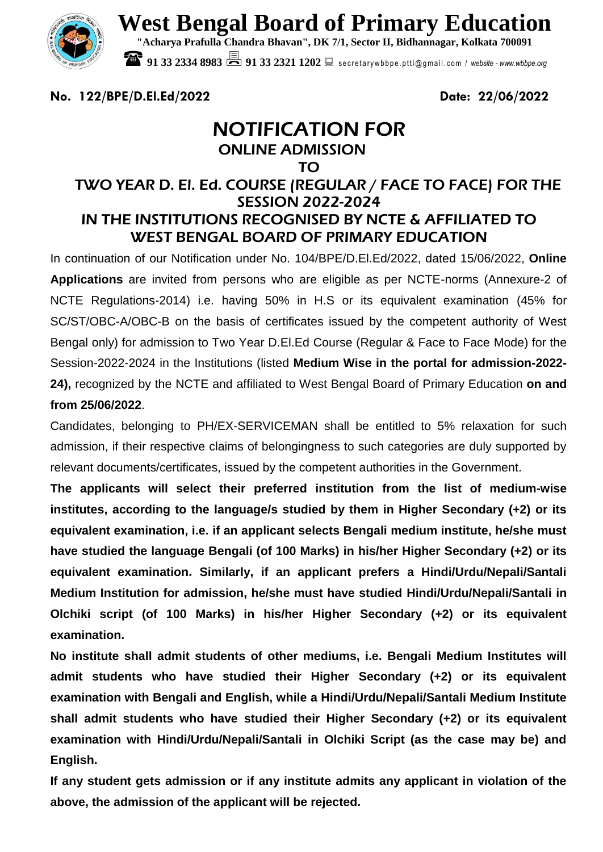

**West Bengal Board of Primary Education**

**"Acharya Prafulla Chandra Bhavan", DK 7/1, Sector II, Bidhannagar, Kolkata 700091**

**91 33 2334 8983 201 33 2321 1202** Secretarywbbpe.ptti@gmail.com / website - www.wbbpe.org

**No. 122/BPE/D.El.Ed/2022 Date: 22/06/2022**

# NOTIFICATION FOR ONLINE ADMISSION

### TO

### TWO YEAR D. El. Ed. COURSE (REGULAR / FACE TO FACE) FOR THE SESSION 2022-2024 IN THE INSTITUTIONS RECOGNISED BY NCTE & AFFILIATED TO WEST BENGAL BOARD OF PRIMARY EDUCATION

In continuation of our Notification under No. 104/BPE/D.El.Ed/2022, dated 15/06/2022, **Online Applications** are invited from persons who are eligible as per NCTE-norms (Annexure-2 of NCTE Regulations-2014) i.e. having 50% in H.S or its equivalent examination (45% for SC/ST/OBC-A/OBC-B on the basis of certificates issued by the competent authority of West Bengal only) for admission to Two Year D.El.Ed Course (Regular & Face to Face Mode) for the Session-2022-2024 in the Institutions (listed **Medium Wise in the portal for admission-2022- 24),** recognized by the NCTE and affiliated to West Bengal Board of Primary Education **on and from 25/06/2022**.

Candidates, belonging to PH/EX-SERVICEMAN shall be entitled to 5% relaxation for such admission, if their respective claims of belongingness to such categories are duly supported by relevant documents/certificates, issued by the competent authorities in the Government.

**The applicants will select their preferred institution from the list of medium-wise institutes, according to the language/s studied by them in Higher Secondary (+2) or its equivalent examination, i.e. if an applicant selects Bengali medium institute, he/she must have studied the language Bengali (of 100 Marks) in his/her Higher Secondary (+2) or its equivalent examination. Similarly, if an applicant prefers a Hindi/Urdu/Nepali/Santali Medium Institution for admission, he/she must have studied Hindi/Urdu/Nepali/Santali in Olchiki script (of 100 Marks) in his/her Higher Secondary (+2) or its equivalent examination.** 

**No institute shall admit students of other mediums, i.e. Bengali Medium Institutes will admit students who have studied their Higher Secondary (+2) or its equivalent examination with Bengali and English, while a Hindi/Urdu/Nepali/Santali Medium Institute shall admit students who have studied their Higher Secondary (+2) or its equivalent examination with Hindi/Urdu/Nepali/Santali in Olchiki Script (as the case may be) and English.** 

**If any student gets admission or if any institute admits any applicant in violation of the above, the admission of the applicant will be rejected.**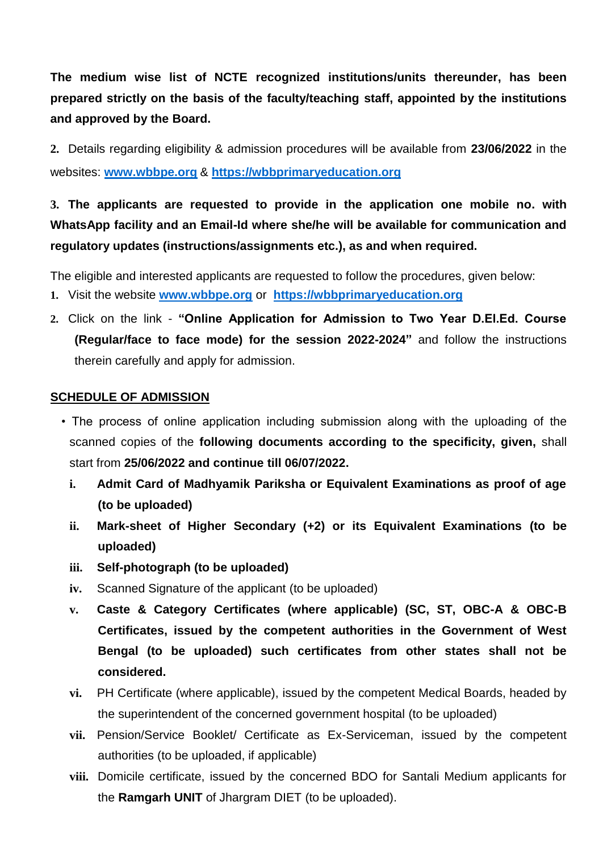**The medium wise list of NCTE recognized institutions/units thereunder, has been prepared strictly on the basis of the faculty/teaching staff, appointed by the institutions and approved by the Board.**

**2.** Details regarding eligibility & admission procedures will be available from **23/06/2022** in the websites: **[www.wbbpe.org](http://www.wbbpe.org/)** & **[https://wbbprimaryeducation.org](https://wbbprimaryeducation.org/)**

**3. The applicants are requested to provide in the application one mobile no. with WhatsApp facility and an Email-Id where she/he will be available for communication and regulatory updates (instructions/assignments etc.), as and when required.**

The eligible and interested applicants are requested to follow the procedures, given below:

- **1.** Visit the website **[www.wbbpe.org](http://www.wbbpe.org/)** or **[https://wbbprimaryeducation.org](https://wbbprimaryeducation.org/)**
- **2.** Click on the link **"Online Application for Admission to Two Year D.El.Ed. Course (Regular/face to face mode) for the session 2022-2024"** and follow the instructions therein carefully and apply for admission.

### **SCHEDULE OF ADMISSION**

- The process of online application including submission along with the uploading of the scanned copies of the **following documents according to the specificity, given,** shall start from **25/06/2022 and continue till 06/07/2022.**
	- **i. Admit Card of Madhyamik Pariksha or Equivalent Examinations as proof of age (to be uploaded)**
	- **ii. Mark-sheet of Higher Secondary (+2) or its Equivalent Examinations (to be uploaded)**
	- **iii. Self-photograph (to be uploaded)**
	- **iv.** Scanned Signature of the applicant (to be uploaded)
	- **v. Caste & Category Certificates (where applicable) (SC, ST, OBC-A & OBC-B Certificates, issued by the competent authorities in the Government of West Bengal (to be uploaded) such certificates from other states shall not be considered.**
	- **vi.** PH Certificate (where applicable), issued by the competent Medical Boards, headed by the superintendent of the concerned government hospital (to be uploaded)
	- **vii.** Pension/Service Booklet/ Certificate as Ex-Serviceman, issued by the competent authorities (to be uploaded, if applicable)
	- **viii.** Domicile certificate, issued by the concerned BDO for Santali Medium applicants for the **Ramgarh UNIT** of Jhargram DIET (to be uploaded).